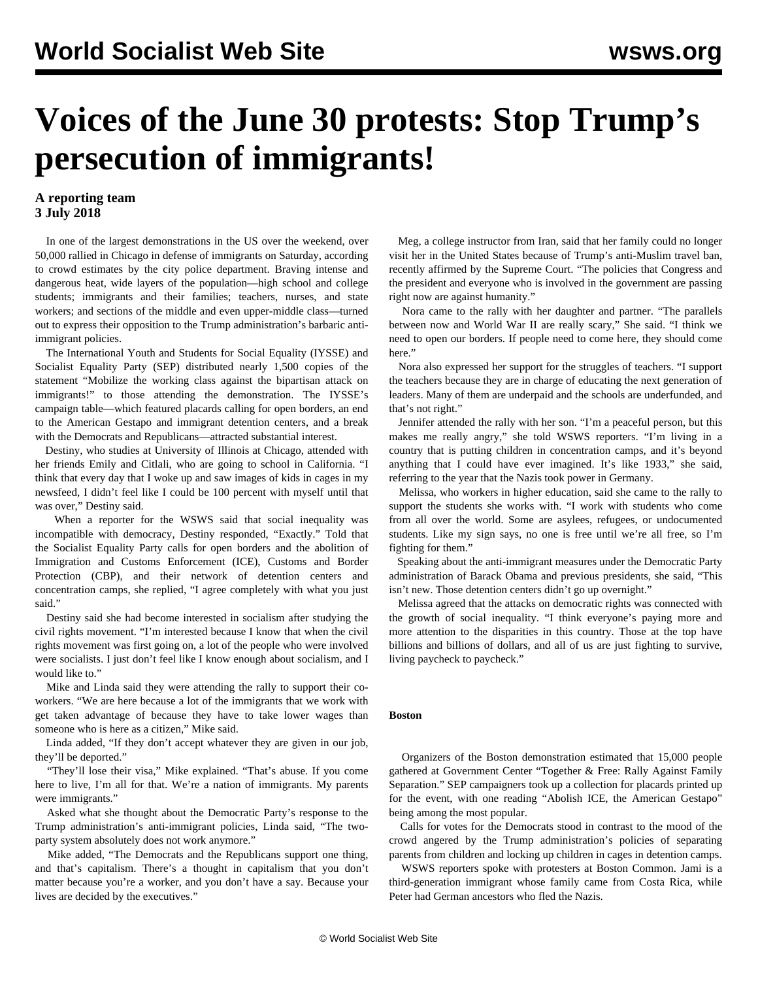# **Voices of the June 30 protests: Stop Trump's persecution of immigrants!**

# **A reporting team 3 July 2018**

 In one of the largest demonstrations in the US over the weekend, over 50,000 rallied in Chicago in defense of immigrants on Saturday, according to crowd estimates by the city police department. Braving intense and dangerous heat, wide layers of the population—high school and college students; immigrants and their families; teachers, nurses, and state workers; and sections of the middle and even upper-middle class—turned out to express their opposition to the Trump administration's barbaric antiimmigrant policies.

 The International Youth and Students for Social Equality (IYSSE) and Socialist Equality Party (SEP) distributed nearly 1,500 copies of the statement "[Mobilize the working class against the bipartisan attack on](/en/articles/2018/06/29/immi-j29.html) [immigrants!](/en/articles/2018/06/29/immi-j29.html)" to those attending the demonstration. The IYSSE's campaign table—which featured placards calling for open borders, an end to the American Gestapo and immigrant detention centers, and a break with the Democrats and Republicans—attracted substantial interest.

 Destiny, who studies at University of Illinois at Chicago, attended with her friends Emily and Citlali, who are going to school in California. "I think that every day that I woke up and saw images of kids in cages in my newsfeed, I didn't feel like I could be 100 percent with myself until that was over," Destiny said.

When a reporter for the WSWS said that social inequality was incompatible with democracy, Destiny responded, "Exactly." Told that the Socialist Equality Party calls for open borders and the abolition of Immigration and Customs Enforcement (ICE), Customs and Border Protection (CBP), and their network of detention centers and concentration camps, she replied, "I agree completely with what you just said."

 Destiny said she had become interested in socialism after studying the civil rights movement. "I'm interested because I know that when the civil rights movement was first going on, a lot of the people who were involved were socialists. I just don't feel like I know enough about socialism, and I would like to."

 Mike and Linda said they were attending the rally to support their coworkers. "We are here because a lot of the immigrants that we work with get taken advantage of because they have to take lower wages than someone who is here as a citizen," Mike said.

 Linda added, "If they don't accept whatever they are given in our job, they'll be deported."

 "They'll lose their visa," Mike explained. "That's abuse. If you come here to live, I'm all for that. We're a nation of immigrants. My parents were immigrants."

 Asked what she thought about the Democratic Party's response to the Trump administration's anti-immigrant policies, Linda said, "The twoparty system absolutely does not work anymore."

 Mike added, "The Democrats and the Republicans support one thing, and that's capitalism. There's a thought in capitalism that you don't matter because you're a worker, and you don't have a say. Because your lives are decided by the executives."

 Meg, a college instructor from Iran, said that her family could no longer visit her in the United States because of Trump's anti-Muslim travel ban, recently affirmed by the Supreme Court. "The policies that Congress and the president and everyone who is involved in the government are passing right now are against humanity."

 Nora came to the rally with her daughter and partner. "The parallels between now and World War II are really scary," She said. "I think we need to open our borders. If people need to come here, they should come here."

 Nora also expressed her support for the struggles of teachers. "I support the teachers because they are in charge of educating the next generation of leaders. Many of them are underpaid and the schools are underfunded, and that's not right."

 Jennifer attended the rally with her son. "I'm a peaceful person, but this makes me really angry," she told WSWS reporters. "I'm living in a country that is putting children in concentration camps, and it's beyond anything that I could have ever imagined. It's like 1933," she said, referring to the year that the Nazis took power in Germany.

 Melissa, who workers in higher education, said she came to the rally to support the students she works with. "I work with students who come from all over the world. Some are asylees, refugees, or undocumented students. Like my sign says, no one is free until we're all free, so I'm fighting for them."

 Speaking about the anti-immigrant measures under the Democratic Party administration of Barack Obama and previous presidents, she said, "This isn't new. Those detention centers didn't go up overnight."

 Melissa agreed that the attacks on democratic rights was connected with the growth of social inequality. "I think everyone's paying more and more attention to the disparities in this country. Those at the top have billions and billions of dollars, and all of us are just fighting to survive, living paycheck to paycheck."

## **Boston**

 Organizers of the Boston demonstration estimated that 15,000 people gathered at Government Center "Together & Free: Rally Against Family Separation." SEP campaigners took up a collection for placards printed up for the event, with one reading "Abolish ICE, the American Gestapo" being among the most popular.

 Calls for votes for the Democrats stood in contrast to the mood of the crowd angered by the Trump administration's policies of separating parents from children and locking up children in cages in detention camps.

 WSWS reporters spoke with protesters at Boston Common. Jami is a third-generation immigrant whose family came from Costa Rica, while Peter had German ancestors who fled the Nazis.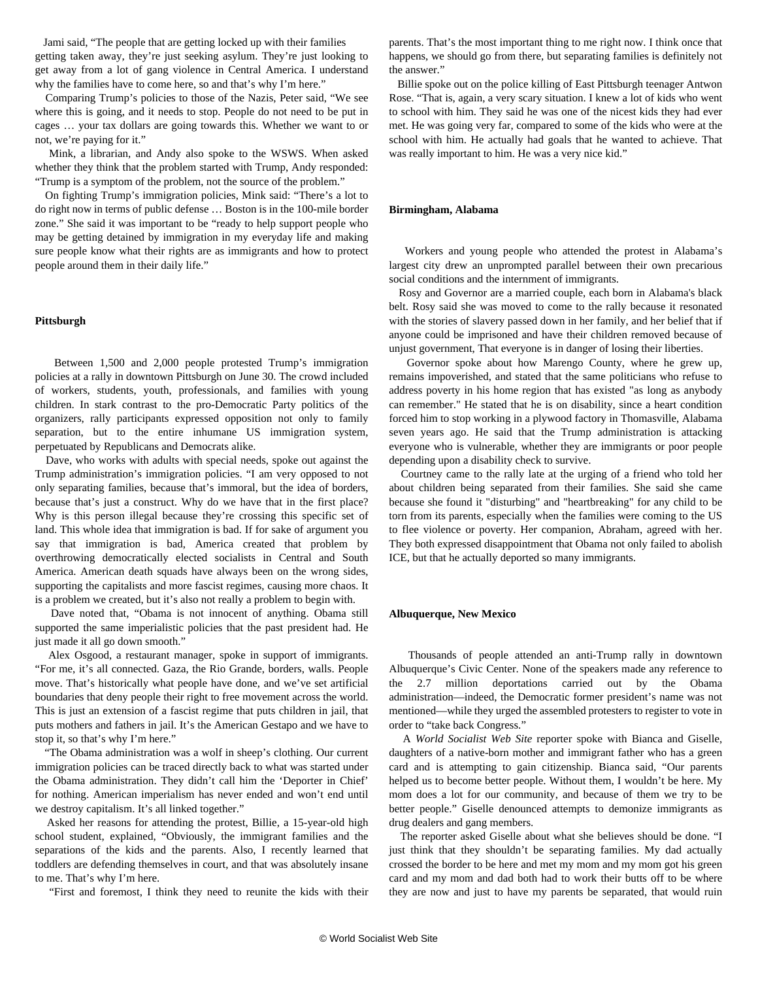Jami said, "The people that are getting locked up with their families getting taken away, they're just seeking asylum. They're just looking to get away from a lot of gang violence in Central America. I understand why the families have to come here, so and that's why I'm here."

 Comparing Trump's policies to those of the Nazis, Peter said, "We see where this is going, and it needs to stop. People do not need to be put in cages … your tax dollars are going towards this. Whether we want to or not, we're paying for it."

 Mink, a librarian, and Andy also spoke to the WSWS. When asked whether they think that the problem started with Trump, Andy responded: "Trump is a symptom of the problem, not the source of the problem."

 On fighting Trump's immigration policies, Mink said: "There's a lot to do right now in terms of public defense … Boston is in the 100-mile border zone." She said it was important to be "ready to help support people who may be getting detained by immigration in my everyday life and making sure people know what their rights are as immigrants and how to protect people around them in their daily life."

#### **Pittsburgh**

 Between 1,500 and 2,000 people protested Trump's immigration policies at a rally in downtown Pittsburgh on June 30. The crowd included of workers, students, youth, professionals, and families with young children. In stark contrast to the pro-Democratic Party politics of the organizers, rally participants expressed opposition not only to family separation, but to the entire inhumane US immigration system, perpetuated by Republicans and Democrats alike.

 Dave, who works with adults with special needs, spoke out against the Trump administration's immigration policies. "I am very opposed to not only separating families, because that's immoral, but the idea of borders, because that's just a construct. Why do we have that in the first place? Why is this person illegal because they're crossing this specific set of land. This whole idea that immigration is bad. If for sake of argument you say that immigration is bad, America created that problem by overthrowing democratically elected socialists in Central and South America. American death squads have always been on the wrong sides, supporting the capitalists and more fascist regimes, causing more chaos. It is a problem we created, but it's also not really a problem to begin with.

 Dave noted that, "Obama is not innocent of anything. Obama still supported the same imperialistic policies that the past president had. He just made it all go down smooth."

 Alex Osgood, a restaurant manager, spoke in support of immigrants. "For me, it's all connected. Gaza, the Rio Grande, borders, walls. People move. That's historically what people have done, and we've set artificial boundaries that deny people their right to free movement across the world. This is just an extension of a fascist regime that puts children in jail, that puts mothers and fathers in jail. It's the American Gestapo and we have to stop it, so that's why I'm here."

 "The Obama administration was a wolf in sheep's clothing. Our current immigration policies can be traced directly back to what was started under the Obama administration. They didn't call him the 'Deporter in Chief' for nothing. American imperialism has never ended and won't end until we destroy capitalism. It's all linked together."

 Asked her reasons for attending the protest, Billie, a 15-year-old high school student, explained, "Obviously, the immigrant families and the separations of the kids and the parents. Also, I recently learned that toddlers are defending themselves in court, and that was absolutely insane to me. That's why I'm here.

"First and foremost, I think they need to reunite the kids with their

parents. That's the most important thing to me right now. I think once that happens, we should go from there, but separating families is definitely not the answer."

 Billie spoke out on the police killing of East Pittsburgh teenager Antwon Rose. "That is, again, a very scary situation. I knew a lot of kids who went to school with him. They said he was one of the nicest kids they had ever met. He was going very far, compared to some of the kids who were at the school with him. He actually had goals that he wanted to achieve. That was really important to him. He was a very nice kid."

#### **Birmingham, Alabama**

 Workers and young people who attended the protest in Alabama's largest city drew an unprompted parallel between their own precarious social conditions and the internment of immigrants.

 Rosy and Governor are a married couple, each born in Alabama's black belt. Rosy said she was moved to come to the rally because it resonated with the stories of slavery passed down in her family, and her belief that if anyone could be imprisoned and have their children removed because of unjust government, That everyone is in danger of losing their liberties.

 Governor spoke about how Marengo County, where he grew up, remains impoverished, and stated that the same politicians who refuse to address poverty in his home region that has existed "as long as anybody can remember." He stated that he is on disability, since a heart condition forced him to stop working in a plywood factory in Thomasville, Alabama seven years ago. He said that the Trump administration is attacking everyone who is vulnerable, whether they are immigrants or poor people depending upon a disability check to survive.

 Courtney came to the rally late at the urging of a friend who told her about children being separated from their families. She said she came because she found it "disturbing" and "heartbreaking" for any child to be torn from its parents, especially when the families were coming to the US to flee violence or poverty. Her companion, Abraham, agreed with her. They both expressed disappointment that Obama not only failed to abolish ICE, but that he actually deported so many immigrants.

#### **Albuquerque, New Mexico**

 Thousands of people attended an anti-Trump rally in downtown Albuquerque's Civic Center. None of the speakers made any reference to the 2.7 million deportations carried out by the Obama administration—indeed, the Democratic former president's name was not mentioned—while they urged the assembled protesters to register to vote in order to "take back Congress."

 A *World Socialist Web Site* reporter spoke with Bianca and Giselle, daughters of a native-born mother and immigrant father who has a green card and is attempting to gain citizenship. Bianca said, "Our parents helped us to become better people. Without them, I wouldn't be here. My mom does a lot for our community, and because of them we try to be better people." Giselle denounced attempts to demonize immigrants as drug dealers and gang members.

 The reporter asked Giselle about what she believes should be done. "I just think that they shouldn't be separating families. My dad actually crossed the border to be here and met my mom and my mom got his green card and my mom and dad both had to work their butts off to be where they are now and just to have my parents be separated, that would ruin